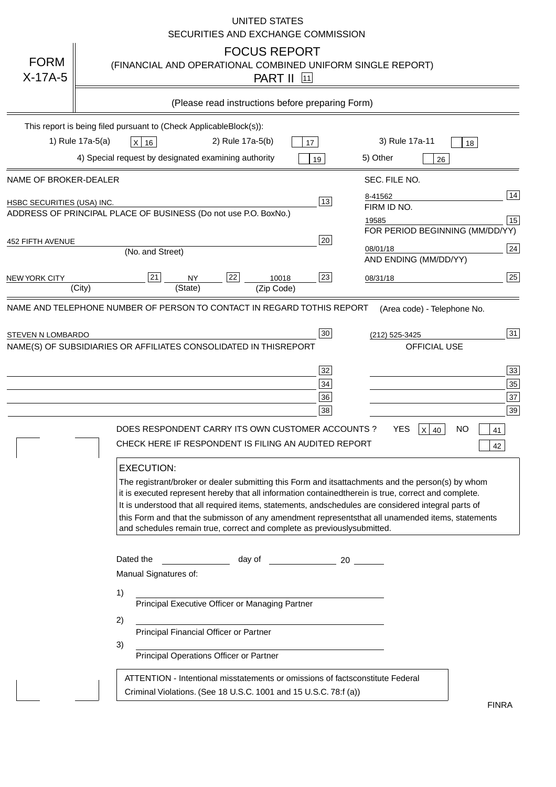|                            | <b>UNITED STATES</b><br>SECURITIES AND EXCHANGE COMMISSION                                                                                                                                                                                                                                                                                                                                                                                                                                                                                                                                                                               |
|----------------------------|------------------------------------------------------------------------------------------------------------------------------------------------------------------------------------------------------------------------------------------------------------------------------------------------------------------------------------------------------------------------------------------------------------------------------------------------------------------------------------------------------------------------------------------------------------------------------------------------------------------------------------------|
| <b>FORM</b><br>$X-17A-5$   | <b>FOCUS REPORT</b><br>(FINANCIAL AND OPERATIONAL COMBINED UNIFORM SINGLE REPORT)<br><b>PART II</b> [11]                                                                                                                                                                                                                                                                                                                                                                                                                                                                                                                                 |
|                            | (Please read instructions before preparing Form)                                                                                                                                                                                                                                                                                                                                                                                                                                                                                                                                                                                         |
|                            | This report is being filed pursuant to (Check Applicable<br>$Block(s)$ :<br>1) Rule 17a-5(a)<br>3) Rule 17a-11<br>2) Rule 17a-5(b)<br>$X$ 16<br>17<br>18<br>4) Special request by designated examining authority<br>5) Other<br>19<br>26                                                                                                                                                                                                                                                                                                                                                                                                 |
| NAME OF BROKER-DEALER      | SEC. FILE NO.                                                                                                                                                                                                                                                                                                                                                                                                                                                                                                                                                                                                                            |
| HSBC SECURITIES (USA) INC. | 14<br>8-41562<br>13<br>FIRM ID NO.<br>ADDRESS OF PRINCIPAL PLACE OF BUSINESS (Do not use P.O. Box<br>No.)<br>15<br>19585<br>FOR PERIOD BEGINNING (MM/DD/YY)                                                                                                                                                                                                                                                                                                                                                                                                                                                                              |
| <b>452 FIFTH AVENUE</b>    | 20<br> 24 <br>08/01/18<br>(No. and Street)<br>AND ENDING (MM/DD/YY)                                                                                                                                                                                                                                                                                                                                                                                                                                                                                                                                                                      |
| <b>NEW YORK CITY</b>       | 25<br>22<br>21<br>23<br><b>NY</b><br>10018<br>08/31/18<br>(City)<br>(State)<br>(Zip Code)                                                                                                                                                                                                                                                                                                                                                                                                                                                                                                                                                |
| STEVEN N LOMBARDO          | 31<br>30<br>(212) 525-3425<br>NAME(S) OF SUBSIDIARIES OR AFFILIATES CONSOLIDATED IN THIS<br><b>REPORT</b><br><b>OFFICIAL USE</b><br>$\overline{33}$<br>32<br>35<br>$34$<br>37<br>36<br>39<br>38<br>$X$ 40<br>DOES RESPONDENT CARRY ITS OWN CUSTOMER ACCOUNTS?<br>YES<br>NO<br>41<br>CHECK HERE IF RESPONDENT IS FILING AN AUDITED REPORT<br>42<br><b>EXECUTION:</b>                                                                                                                                                                                                                                                                      |
|                            | The registrant/broker or dealer submitting this Form and its<br>attachments and the person(s) by whom<br>it is executed represent hereby that all information contained<br>therein is true, correct and complete.<br>It is understood that all required items, statements, and<br>schedules are considered integral parts of<br>this Form and that the submisson of any amendment represents<br>that all unamended items, statements<br>and schedules remain true, correct and complete as previously<br>submitted.<br>Dated the<br>day of<br>20<br>Manual Signatures of:<br>1)<br>Principal Executive Officer or Managing Partner<br>2) |
|                            | Principal Financial Officer or Partner<br>3)<br>Principal Operations Officer or Partner<br>constitute Federal<br>ATTENTION - Intentional misstatements or omissions of facts<br>Criminal Violations. (See 18 U.S.C. 1001 and 15 U.S.C. 78:f (a)<br>$\lambda$                                                                                                                                                                                                                                                                                                                                                                             |
|                            | <b>FINRA</b>                                                                                                                                                                                                                                                                                                                                                                                                                                                                                                                                                                                                                             |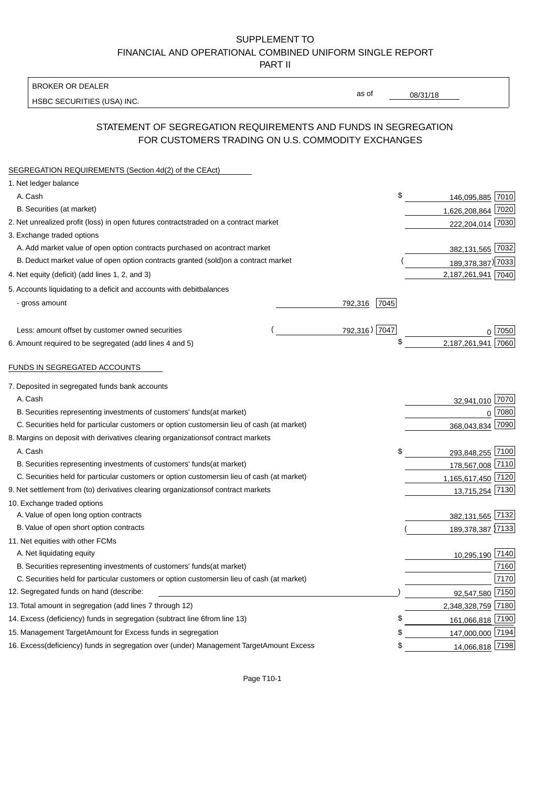BROKER OR DEALER

HSBC SECURITIES (USA) INC.

08/31/18

as of

## STATEMENT OF SEGREGATION REQUIREMENTS AND FUNDS IN SEGREGATION FOR CUSTOMERS TRADING ON U.S. COMMODITY EXCHANGES

| SEGREGATION REQUIREMENTS (Section 4d(2) of the CEAct)                                          |                 |                    |      |
|------------------------------------------------------------------------------------------------|-----------------|--------------------|------|
| 1. Net ledger balance                                                                          |                 |                    |      |
| A. Cash                                                                                        | \$              | 146,095,885 7010   |      |
| B. Securities (at market)                                                                      |                 | 1,626,208,864 7020 |      |
| 2. Net unrealized profit (loss) in open futures contracts traded on a contract market          |                 | 222,204,014 7030   |      |
| 3. Exchange traded options                                                                     |                 |                    |      |
| A. Add market value of open option contracts purchased on a<br>contract market                 |                 | 382,131,565 7032   |      |
| B. Deduct market value of open option contracts granted (sold)<br>on a contract market         |                 | 189,378,387) 7033  |      |
| 4. Net equity (deficit) (add lines 1, 2, and 3)                                                |                 | 2,187,261,941 7040 |      |
| 5. Accounts liquidating to a deficit and accounts with debit<br>balances                       |                 |                    |      |
| - gross amount                                                                                 | 792,316<br>7045 |                    |      |
|                                                                                                |                 |                    |      |
| Less: amount offset by customer owned securities                                               | 792,316) 7047   | 0                  | 7050 |
| 6. Amount required to be segregated (add lines 4 and 5)                                        | \$              | 2,187,261,941      | 7060 |
|                                                                                                |                 |                    |      |
| FUNDS IN SEGREGATED ACCOUNTS                                                                   |                 |                    |      |
| 7. Deposited in segregated funds bank accounts                                                 |                 |                    |      |
| A. Cash                                                                                        |                 | 32,941,010         | 7070 |
| B. Securities representing investments of customers' funds<br>(at market)                      |                 | $\mathbf 0$        | 7080 |
| C. Securities held for particular customers or option customers<br>in lieu of cash (at market) |                 | 368,043,834        | 7090 |
| 8. Margins on deposit with derivatives clearing organizations<br>of contract markets           |                 |                    |      |
| A. Cash                                                                                        | \$              | 293,848,255        | 7100 |
| B. Securities representing investments of customers' funds<br>(at market)                      |                 | 178,567,008 7110   |      |
| C. Securities held for particular customers or option customers<br>in lieu of cash (at market) |                 | 1,165,617,450 7120 |      |
| 9. Net settlement from (to) derivatives clearing organizations<br>of contract markets          |                 | 13,715,254         | 7130 |
| 10. Exchange traded options                                                                    |                 |                    |      |
| A. Value of open long option contracts                                                         |                 | 382,131,565        | 7132 |
| B. Value of open short option contracts                                                        |                 | 189,378,387 7133   |      |
| 11. Net equities with other FCMs                                                               |                 |                    |      |
| A. Net liquidating equity                                                                      |                 | 10,295,190         | 7140 |
| B. Securities representing investments of customers' funds<br>(at market)                      |                 |                    | 7160 |
| C. Securities held for particular customers or option customers<br>in lieu of cash (at market) |                 |                    | 7170 |
| 12. Segregated funds on hand (describe:                                                        |                 | 92,547,580         | 7150 |
| 13. Total amount in segregation (add lines 7 through 12)                                       |                 | 2,348,328,759 7180 |      |
| 14. Excess (deficiency) funds in segregation (subtract line 6<br>from line 13)                 |                 | 161,066,818 7190   |      |
| 15. Management Target Amount for Excess funds in segregation                                   | \$              | 147,000,000 7194   |      |
| 16. Excess (deficiency) funds in segregation over (under) Management Target Amount Excess      | \$              | 14,066,818 7198    |      |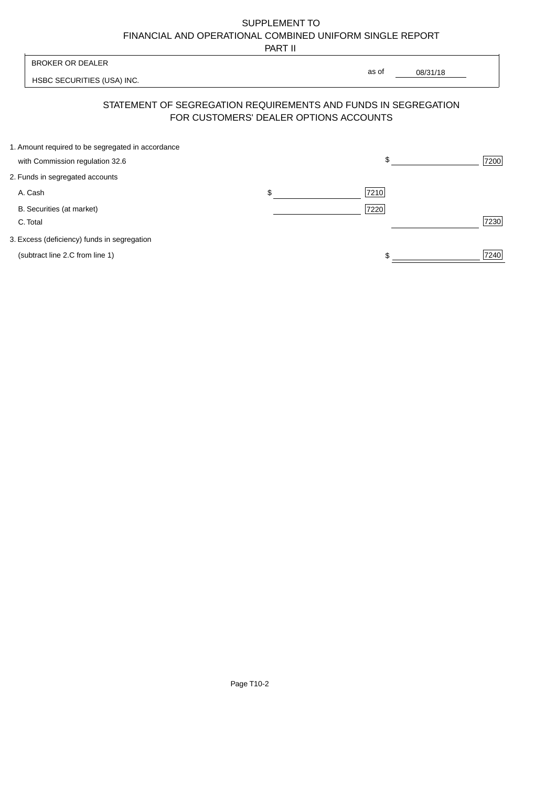PART II

| <b>BROKER OR DEALER</b>                                        | as of                                  |          |      |
|----------------------------------------------------------------|----------------------------------------|----------|------|
| HSBC SECURITIES (USA) INC.                                     |                                        | 08/31/18 |      |
| STATEMENT OF SEGREGATION REQUIREMENTS AND FUNDS IN SEGREGATION | FOR CUSTOMERS' DEALER OPTIONS ACCOUNTS |          |      |
| 1. Amount required to be segregated in accordance              |                                        |          |      |
| with Commission regulation 32.6                                |                                        | \$       | 7200 |
| 2. Funds in segregated accounts                                |                                        |          |      |
| A. Cash                                                        | \$                                     | 7210     |      |
| B. Securities (at market)<br>C. Total                          |                                        | 7220     | 7230 |
|                                                                |                                        |          |      |

3. Excess (deficiency) funds in segregation

(subtract line 2.C from line 1)  $\frac{1}{240}$  $\frac{1}{1}$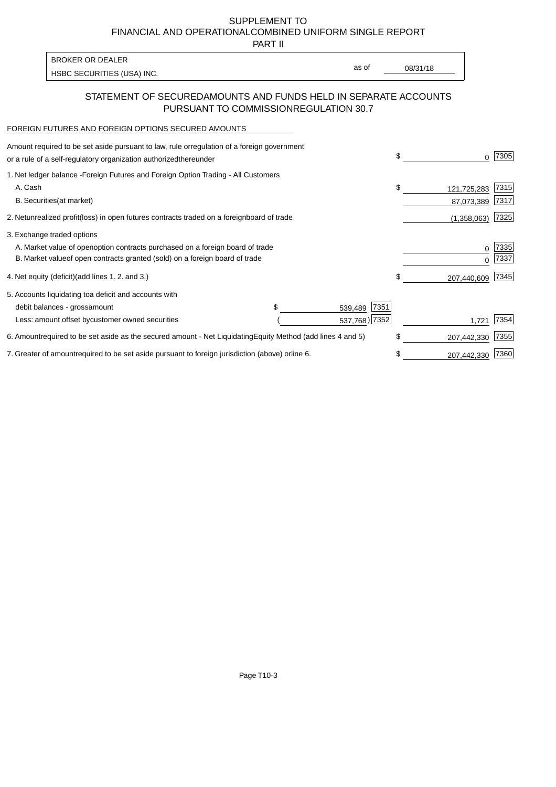PART II

HSBC SECURITIES (USA) INC. The state of the second second in the second second second second second second second second second second second second second second second second second second second second second second sec BROKER OR DEALER

as of

## STATEMENT OF SECURED AMOUNTS AND FUNDS HELD IN SEPARATE ACCOUNTS PURSUANT TO COMMISSION REGULATION 30.7

#### FOREIGN FUTURES AND FOREIGN OPTIONS SECURED AMOUNTS

| Amount required to be set aside pursuant to law, rule or<br>regulation of a foreign government<br>or a rule of a self-regulatory organization authorized<br>thereunder |                                   |                 | \$<br>0           | 7305         |
|------------------------------------------------------------------------------------------------------------------------------------------------------------------------|-----------------------------------|-----------------|-------------------|--------------|
| 1. Net ledger balance - Foreign Futures and Foreign Option Trading - All Customers<br>A. Cash                                                                          |                                   |                 | \$<br>121,725,283 | 7315         |
| <b>B.</b> Securities<br>(at market)                                                                                                                                    |                                   |                 | 87,073,389        | 7317         |
| 2. Net unrealized profit (loss) in open futures contracts traded on a foreign                                                                                          | board of trade                    |                 | (1,358,063)       | 7325         |
| 3. Exchange traded options                                                                                                                                             |                                   |                 |                   |              |
| A. Market value of open option contracts purchased on a foreign board of trade<br>B. Market value of open contracts granted (sold) on a foreign board of trade         |                                   |                 | 0<br>U            | 7335<br>7337 |
| 4. Net equity (deficit) (add lines 1.2. and 3.)                                                                                                                        |                                   |                 | \$<br>207,440,609 | 7345         |
| 5. Accounts liquidating to a deficit and accounts with                                                                                                                 |                                   |                 |                   |              |
| debit balances - gross<br>amount                                                                                                                                       |                                   | 7351<br>539,489 |                   |              |
| Less: amount offset by customer owned securities                                                                                                                       |                                   | 537,768) 7352   | 1,721             | 7354         |
| 6. Amount required to be set aside as the secured amount - Net Liquidating                                                                                             | Equity Method (add lines 4 and 5) |                 | \$<br>207,442,330 | 7355         |
| 7. Greater of amount required to be set aside pursuant to foreign jurisdiction (above) or                                                                              | line 6.                           |                 | \$<br>207,442,330 | 7360         |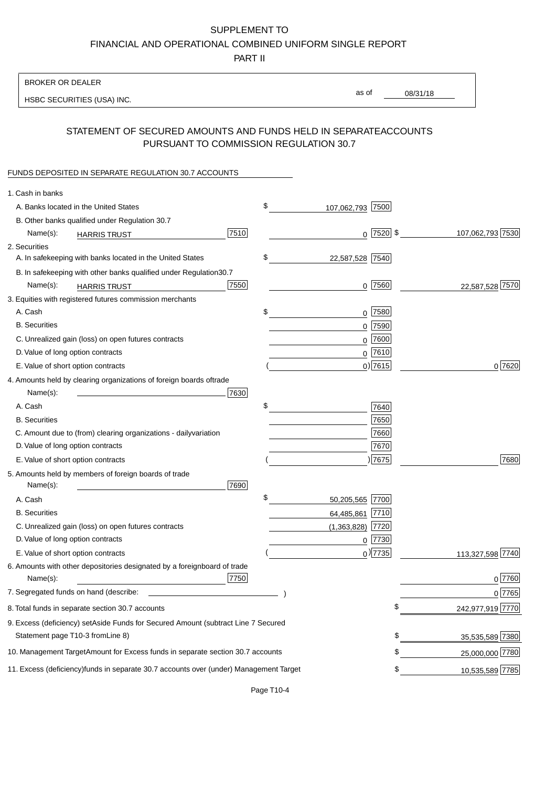PART II

| <b>BROKER OR DEALER</b>                                                                          |                        |                 |                  |
|--------------------------------------------------------------------------------------------------|------------------------|-----------------|------------------|
| HSBC SECURITIES (USA) INC.                                                                       | as of                  | 08/31/18        |                  |
| STATEMENT OF SECURED AMOUNTS AND FUNDS HELD IN SEPARATE                                          |                        | <b>ACCOUNTS</b> |                  |
| PURSUANT TO COMMISSION REGULATION 30.7                                                           |                        |                 |                  |
| FUNDS DEPOSITED IN SEPARATE REGULATION 30.7 ACCOUNTS                                             |                        |                 |                  |
| 1. Cash in banks                                                                                 |                        |                 |                  |
| A. Banks located in the United States                                                            | \$<br>107,062,793 7500 |                 |                  |
| B. Other banks qualified under Regulation 30.7                                                   |                        |                 |                  |
| 7510<br>Name(s):<br><b>HARRIS TRUST</b>                                                          | $0$  7520  \$          |                 | 107,062,793 7530 |
| 2. Securities                                                                                    |                        |                 |                  |
| A. In safekeeping with banks located in the United States                                        | \$<br>22,587,528 7540  |                 |                  |
| 30.7<br>B. In safekeeping with other banks qualified under Regulation                            |                        |                 |                  |
| 7550<br>Name(s):<br><b>HARRIS TRUST</b>                                                          | $0$ 7560               |                 | 22,587,528 7570  |
| 3. Equities with registered futures commission merchants                                         |                        |                 |                  |
| A. Cash                                                                                          | \$<br>$0$ 7580         |                 |                  |
| <b>B.</b> Securities                                                                             | $0$ 7590               |                 |                  |
| C. Unrealized gain (loss) on open futures contracts                                              | $0$ 7600               |                 |                  |
| D. Value of long option contracts                                                                | $0$ 7610               |                 |                  |
| E. Value of short option contracts                                                               | $0$ ) 7615             |                 | 0 7620           |
| 4. Amounts held by clearing organizations of foreign boards of<br>trade                          |                        |                 |                  |
| Name(s):<br>7630                                                                                 |                        |                 |                  |
| A. Cash                                                                                          | \$<br>7640             |                 |                  |
| <b>B.</b> Securities                                                                             | 7650                   |                 |                  |
| C. Amount due to (from) clearing organizations - daily<br>variation                              | 7660                   |                 |                  |
| D. Value of long option contracts                                                                | 7670                   |                 |                  |
| E. Value of short option contracts                                                               | 17675                  |                 | 7680             |
| 5. Amounts held by members of foreign boards of trade<br>Name(s):<br>7690                        |                        |                 |                  |
| A. Cash                                                                                          | \$<br>50,205,565 7700  |                 |                  |
| <b>B.</b> Securities                                                                             | 64,485,861<br>7710     |                 |                  |
| C. Unrealized gain (loss) on open futures contracts                                              | $(1,363,828)$ 7720     |                 |                  |
| D. Value of long option contracts                                                                | $0$ 7730               |                 |                  |
| E. Value of short option contracts                                                               | $_0$ ) 7735            |                 | 113,327,598 7740 |
| 6. Amounts with other depositories designated by a foreign<br>board of trade<br>7750<br>Name(s): |                        |                 | 0 7760           |
| 7. Segregated funds on hand (describe:                                                           |                        |                 | 0 7765           |
| 8. Total funds in separate section 30.7 accounts                                                 |                        | \$              | 242,977,919 7770 |
| 9. Excess (deficiency) set Aside Funds for Secured Amount (subtract Line 7 Secured               |                        |                 |                  |
| Statement page T10-3 from Line 8)                                                                |                        | \$              | 35,535,589 7380  |
| 10. Management Target Amount for Excess funds in separate section 30.7 accounts                  |                        | \$              | 25,000,000 7780  |
| 11. Excess (deficiency) funds in separate 30.7 accounts over (under) Management Target           |                        | \$              | 10,535,589 7785  |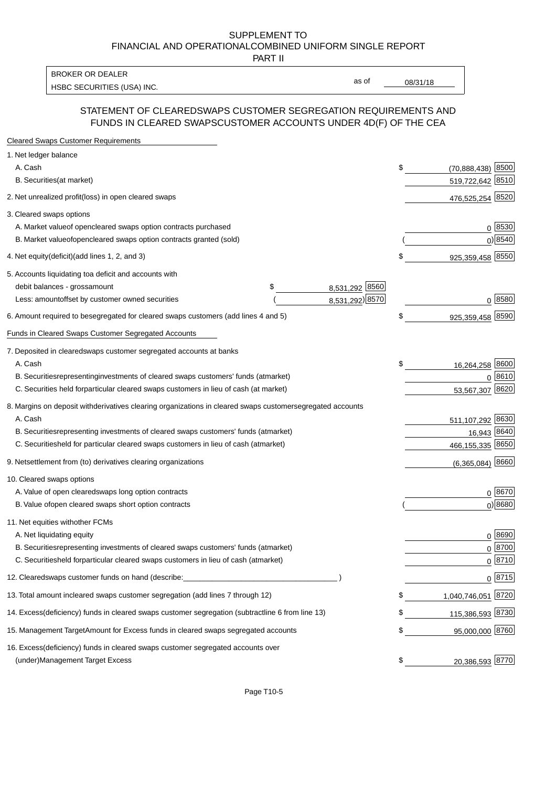PART II

HSBC SECURITIES (USA) INC. The state of the state of the state of the state of the state of the state of the state of the state of the state of the state of the state of the state of the state of the state of the state of BROKER OR DEALER

as of

### STATEMENT OF CLEARED SWAPS CUSTOMER SEGREGATION REQUIREMENTS AND FUNDS IN CLEARED SWAPS CUSTOMER ACCOUNTS UNDER 4D(F) OF THE CEA

| <b>Cleared Swaps Customer Requirements</b>                                                                  |    |                        |
|-------------------------------------------------------------------------------------------------------------|----|------------------------|
| 1. Net ledger balance                                                                                       |    |                        |
| A. Cash                                                                                                     | \$ | 8500<br>(70, 888, 438) |
| B. Securities (at market)                                                                                   |    | 519,722,642 8510       |
| 2. Net unrealized profit (loss) in open cleared swaps                                                       |    | 476,525,254 8520       |
| 3. Cleared swaps options                                                                                    |    |                        |
| A. Market value of open cleared swaps option contracts purchased                                            |    | $0^{8530}$             |
| B. Market value of open cleared swaps option contracts granted (sold)                                       |    | $0)$ 8540              |
| 4. Net equity (deficit) (add lines 1, 2, and 3)                                                             | \$ | 925,359,458 8550       |
| 5. Accounts liquidating to a deficit and accounts with                                                      |    |                        |
| 8,531,292 8560<br>debit balances - gross<br>\$<br>amount                                                    |    |                        |
| 8,531,292) 8570<br>Less: amount offset by customer owned securities                                         |    | 0 8580                 |
| 6. Amount required to be segregated for cleared swaps customers (add lines 4 and 5)                         | \$ | 925,359,458 8590       |
| Funds in Cleared Swaps Customer Segregated Accounts                                                         |    |                        |
| 7. Deposited in cleared swaps customer segregated accounts at banks                                         |    |                        |
| A. Cash                                                                                                     | \$ | 8600<br>16,264,258     |
| B. Securities representing investments of cleared swaps customers' funds (at market)                        |    | 0 8610                 |
| C. Securities held for particular cleared swaps customers in lieu of cash (at market)                       |    | 53,567,307 8620        |
| 8. Margins on deposit with derivatives clearing organizations in cleared swaps customer segregated accounts |    |                        |
| A. Cash                                                                                                     |    | 511,107,292 8630       |
| representing investments of cleared swaps customers' funds (at market)<br><b>B.</b> Securities              |    | 16,943 8640            |
| C. Securities held for particular cleared swaps customers in lieu of cash (at market)                       |    | 466,155,335 8650       |
| 9. Net settlement from (to) derivatives clearing organizations                                              |    | $(6,365,084)$ 8660     |
| 10. Cleared swaps options                                                                                   |    |                        |
| A. Value of open cleared swaps long option contracts                                                        |    | $0^{8670}$             |
| B. Value of open cleared swaps short option contracts                                                       |    | $0$ ) 8680             |
| 11. Net equities with other FCMs                                                                            |    |                        |
| A. Net liquidating equity                                                                                   |    | $0^{8690}$             |
| B. Securities representing investments of cleared swaps customers' funds (at market)                        |    | $0^{8700}$             |
| C. Securities held for particular cleared swaps customers in lieu of cash (at market)                       |    | 0 8710                 |
| 12. Cleared swaps customer funds on hand (describe:                                                         |    | $0 \;  8715 $          |
| 13. Total amount in cleared swaps customer segregation (add lines 7 through 12)                             | S  | 1,040,746,051 8720     |
| 14. Excess (deficiency) funds in cleared swaps customer segregation (subtract line 6 from line 13)          |    | 115,386,593 8730       |
| 15. Management Target Amount for Excess funds in cleared swaps segregated accounts                          | \$ | 95,000,000 8760        |
| 16. Excess<br>(deficiency) funds in cleared swaps customer segregated accounts over                         |    |                        |
| <b>Management Target Excess</b><br>(under)                                                                  | \$ | 20,386,593 8770        |